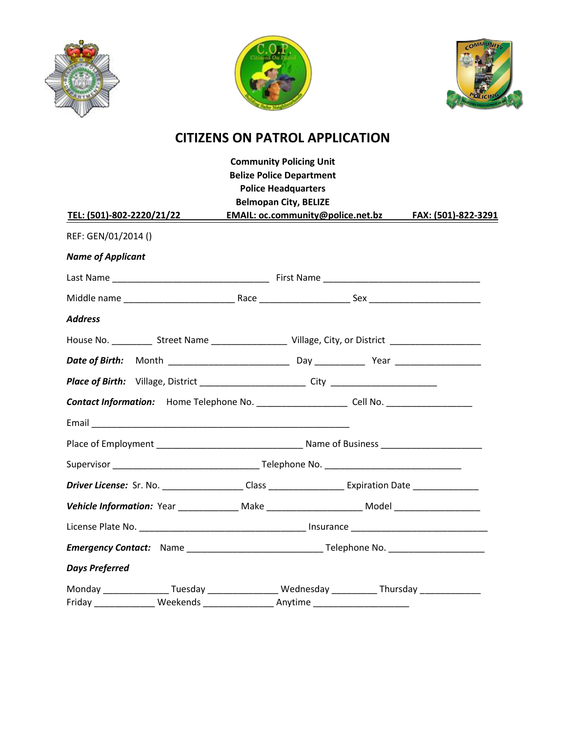





## **CITIZENS ON PATROL APPLICATION**

| <b>Community Policing Unit</b><br><b>Belize Police Department</b>                                              |                                                                                                            |                              |  |                                                       |  |  |  |
|----------------------------------------------------------------------------------------------------------------|------------------------------------------------------------------------------------------------------------|------------------------------|--|-------------------------------------------------------|--|--|--|
|                                                                                                                |                                                                                                            | <b>Police Headquarters</b>   |  |                                                       |  |  |  |
|                                                                                                                |                                                                                                            | <b>Belmopan City, BELIZE</b> |  |                                                       |  |  |  |
| <u>TEL: (501)-802-2220/21/22</u>                                                                               |                                                                                                            |                              |  | EMAIL: oc.community@police.net.bz FAX: (501)-822-3291 |  |  |  |
| REF: GEN/01/2014 ()                                                                                            |                                                                                                            |                              |  |                                                       |  |  |  |
| <b>Name of Applicant</b>                                                                                       |                                                                                                            |                              |  |                                                       |  |  |  |
|                                                                                                                |                                                                                                            |                              |  |                                                       |  |  |  |
|                                                                                                                |                                                                                                            |                              |  |                                                       |  |  |  |
| <b>Address</b>                                                                                                 |                                                                                                            |                              |  |                                                       |  |  |  |
|                                                                                                                | House No. ____________ Street Name _______________________ Village, City, or District ____________________ |                              |  |                                                       |  |  |  |
|                                                                                                                |                                                                                                            |                              |  |                                                       |  |  |  |
|                                                                                                                |                                                                                                            |                              |  |                                                       |  |  |  |
| Contact Information: Home Telephone No. _____________________Cell No. _________________                        |                                                                                                            |                              |  |                                                       |  |  |  |
|                                                                                                                |                                                                                                            |                              |  |                                                       |  |  |  |
|                                                                                                                |                                                                                                            |                              |  |                                                       |  |  |  |
|                                                                                                                |                                                                                                            |                              |  |                                                       |  |  |  |
| Driver License: Sr. No. ___________________Class ________________________Expiration Date _____________________ |                                                                                                            |                              |  |                                                       |  |  |  |
| Vehicle Information: Year _______________ Make ________________________ Model _____________________            |                                                                                                            |                              |  |                                                       |  |  |  |
|                                                                                                                |                                                                                                            |                              |  |                                                       |  |  |  |
|                                                                                                                |                                                                                                            |                              |  |                                                       |  |  |  |
| <b>Days Preferred</b>                                                                                          |                                                                                                            |                              |  |                                                       |  |  |  |
| Monday ________________Tuesday ________________Wednesday ____________Thursday _______________                  |                                                                                                            |                              |  |                                                       |  |  |  |
|                                                                                                                |                                                                                                            |                              |  |                                                       |  |  |  |